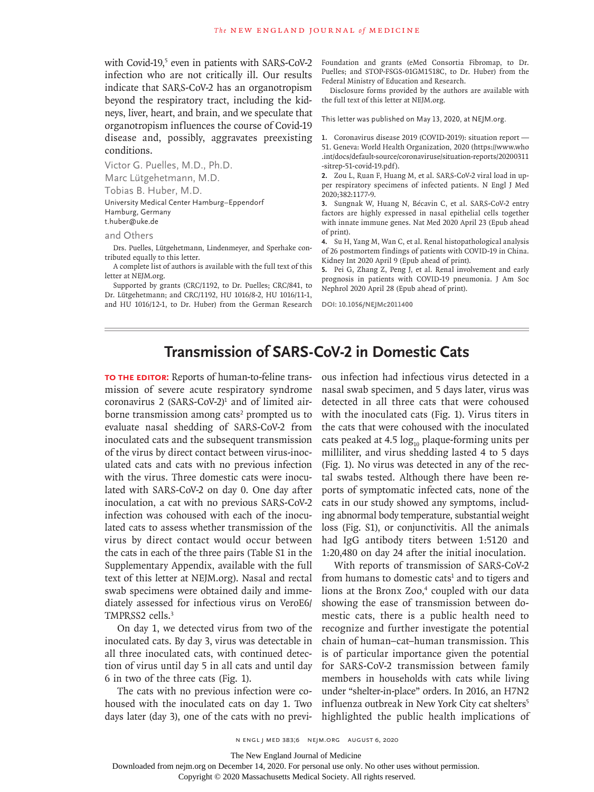with Covid-19,<sup>5</sup> even in patients with SARS-CoV-2 infection who are not critically ill. Our results indicate that SARS-CoV-2 has an organotropism beyond the respiratory tract, including the kidneys, liver, heart, and brain, and we speculate that organotropism influences the course of Covid-19 disease and, possibly, aggravates preexisting conditions.

Victor G. Puelles, M.D., Ph.D. Marc Lütgehetmann, M.D. Tobias B. Huber, M.D. University Medical Center Hamburg–Eppendorf Hamburg, Germany t.huber@uke.de

and Others

Drs. Puelles, Lütgehetmann, Lindenmeyer, and Sperhake contributed equally to this letter.

A complete list of authors is available with the full text of this letter at NEJM.org.

Supported by grants (CRC/1192, to Dr. Puelles; CRC/841, to Dr. Lütgehetmann; and CRC/1192, HU 1016/8-2, HU 1016/11-1, and HU 1016/12-1, to Dr. Huber) from the German Research Foundation and grants (eMed Consortia Fibromap, to Dr. Puelles; and STOP-FSGS-01GM1518C, to Dr. Huber) from the Federal Ministry of Education and Research.

Disclosure forms provided by the authors are available with the full text of this letter at NEJM.org.

This letter was published on May 13, 2020, at NEJM.org.

**1.** Coronavirus disease 2019 (COVID-2019): situation report — 51. Geneva: World Health Organization, 2020 (https://www.who .int/docs/default-source/coronaviruse/situation-reports/20200311 -sitrep-51-covid-19.pdf).

**2.** Zou L, Ruan F, Huang M, et al. SARS-CoV-2 viral load in upper respiratory specimens of infected patients. N Engl J Med 2020;382:1177-9.

**3.** Sungnak W, Huang N, Bécavin C, et al. SARS-CoV-2 entry factors are highly expressed in nasal epithelial cells together with innate immune genes. Nat Med 2020 April 23 (Epub ahead of print).

**4.** Su H, Yang M, Wan C, et al. Renal histopathological analysis of 26 postmortem findings of patients with COVID-19 in China. Kidney Int 2020 April 9 (Epub ahead of print).

**5.** Pei G, Zhang Z, Peng J, et al. Renal involvement and early prognosis in patients with COVID-19 pneumonia. J Am Soc Nephrol 2020 April 28 (Epub ahead of print).

**DOI: 10.1056/NEJMc2011400**

## **Transmission of SARS-CoV-2 in Domestic Cats**

**To the Editor:** Reports of human-to-feline transmission of severe acute respiratory syndrome  $coronavirus$  2 (SARS-CoV-2)<sup>1</sup> and of limited airborne transmission among cats<sup>2</sup> prompted us to evaluate nasal shedding of SARS-CoV-2 from inoculated cats and the subsequent transmission of the virus by direct contact between virus-inoculated cats and cats with no previous infection with the virus. Three domestic cats were inoculated with SARS-CoV-2 on day 0. One day after inoculation, a cat with no previous SARS-CoV-2 infection was cohoused with each of the inoculated cats to assess whether transmission of the virus by direct contact would occur between the cats in each of the three pairs (Table S1 in the Supplementary Appendix, available with the full text of this letter at NEJM.org). Nasal and rectal swab specimens were obtained daily and immediately assessed for infectious virus on VeroE6/ TMPRSS2 cells.3

On day 1, we detected virus from two of the inoculated cats. By day 3, virus was detectable in all three inoculated cats, with continued detection of virus until day 5 in all cats and until day 6 in two of the three cats (Fig. 1).

The cats with no previous infection were cohoused with the inoculated cats on day 1. Two days later (day 3), one of the cats with no previous infection had infectious virus detected in a nasal swab specimen, and 5 days later, virus was detected in all three cats that were cohoused with the inoculated cats (Fig. 1). Virus titers in the cats that were cohoused with the inoculated cats peaked at 4.5  $log_{10}$  plaque-forming units per milliliter, and virus shedding lasted 4 to 5 days (Fig. 1). No virus was detected in any of the rectal swabs tested. Although there have been reports of symptomatic infected cats, none of the cats in our study showed any symptoms, including abnormal body temperature, substantial weight loss (Fig. S1), or conjunctivitis. All the animals had IgG antibody titers between 1:5120 and 1:20,480 on day 24 after the initial inoculation.

With reports of transmission of SARS-CoV-2 from humans to domestic cats<sup>1</sup> and to tigers and lions at the Bronx Zoo,<sup>4</sup> coupled with our data showing the ease of transmission between domestic cats, there is a public health need to recognize and further investigate the potential chain of human–cat–human transmission. This is of particular importance given the potential for SARS-CoV-2 transmission between family members in households with cats while living under "shelter-in-place" orders. In 2016, an H7N2 influenza outbreak in New York City cat shelters<sup>5</sup> highlighted the public health implications of

The New England Journal of Medicine

Copyright © 2020 Massachusetts Medical Society. All rights reserved.

Downloaded from nejm.org on December 14, 2020. For personal use only. No other uses without permission.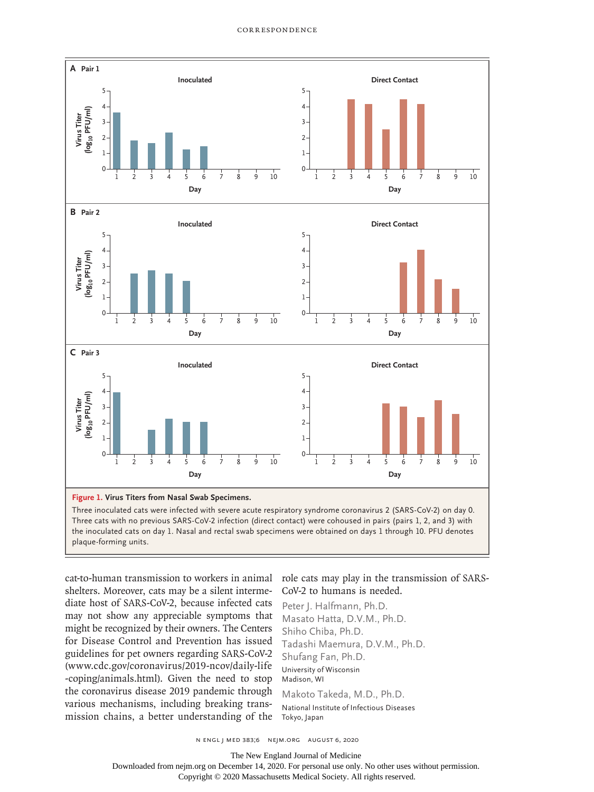

cat-to-human transmission to workers in animal shelters. Moreover, cats may be a silent intermediate host of SARS-CoV-2, because infected cats may not show any appreciable symptoms that might be recognized by their owners. The Centers for Disease Control and Prevention has issued guidelines for pet owners regarding SARS-CoV-2 (www.cdc.gov/coronavirus/2019-ncov/daily-life -coping/animals.html). Given the need to stop the coronavirus disease 2019 pandemic through various mechanisms, including breaking transmission chains, a better understanding of the

## role cats may play in the transmission of SARS-CoV-2 to humans is needed.

Peter J. Halfmann, Ph.D. Masato Hatta, D.V.M., Ph.D. Shiho Chiba, Ph.D. Tadashi Maemura, D.V.M., Ph.D. Shufang Fan, Ph.D. University of Wisconsin Madison, WI

Makoto Takeda, M.D., Ph.D. National Institute of Infectious Diseases Tokyo, Japan

n engl j med 383;6 nejm.org August 6, 2020

The New England Journal of Medicine

Downloaded from nejm.org on December 14, 2020. For personal use only. No other uses without permission. Copyright © 2020 Massachusetts Medical Society. All rights reserved.